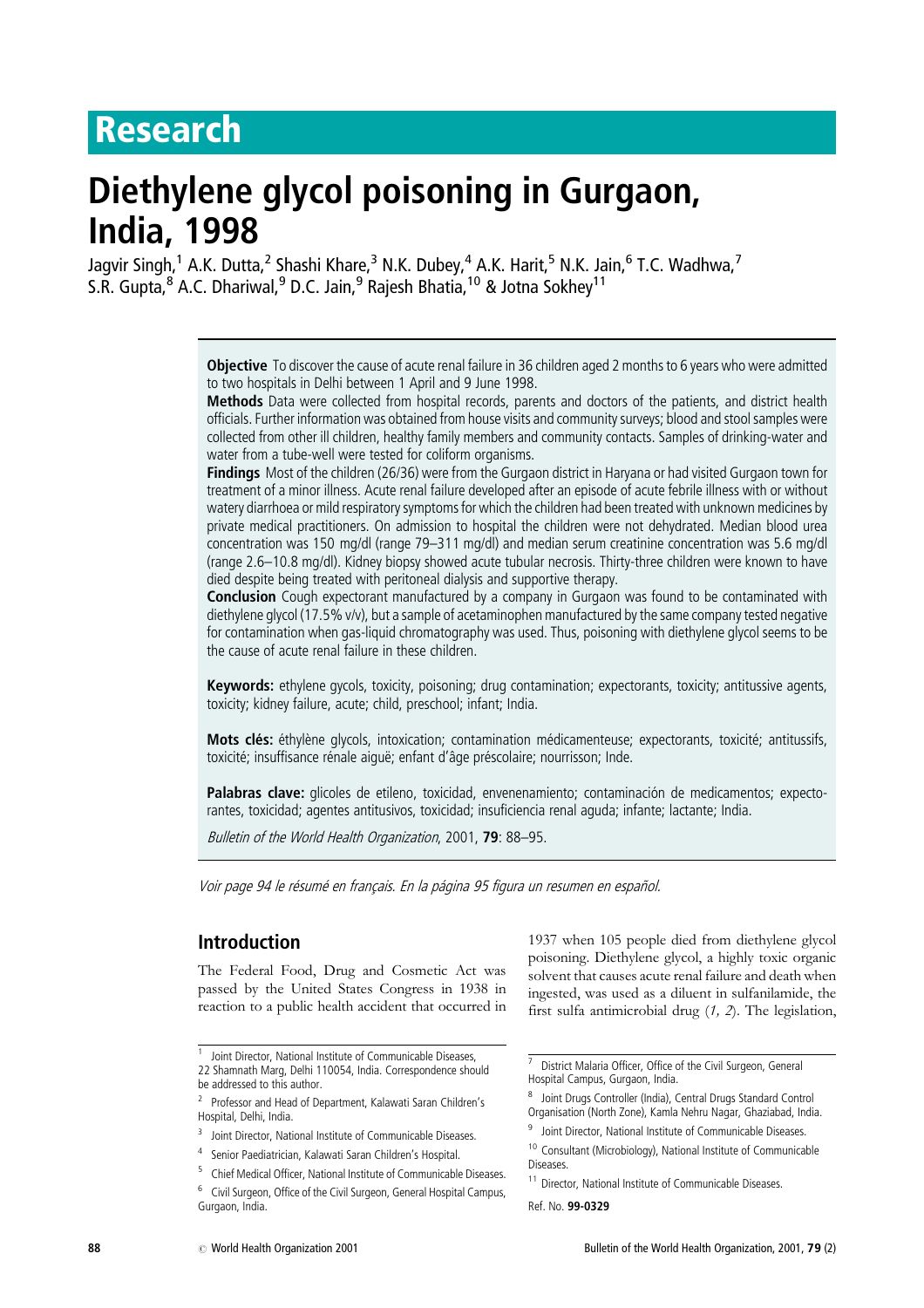## Research

# Diethylene glycol poisoning in Gurgaon, India, 1998

Jagvir Singh,<sup>1</sup> A.K. Dutta,<sup>2</sup> Shashi Khare,<sup>3</sup> N.K. Dubey,<sup>4</sup> A.K. Harit,<sup>5</sup> N.K. Jain,<sup>6</sup> T.C. Wadhwa,<sup>7</sup> S.R. Gupta,<sup>8</sup> A.C. Dhariwal,<sup>9</sup> D.C. Jain,<sup>9</sup> Rajesh Bhatia,<sup>10</sup> & Jotna Sokhey<sup>11</sup>

> Objective To discover the cause of acute renal failure in 36 children aged 2 months to 6 years who were admitted to two hospitals in Delhi between 1 April and 9 June 1998.

> Methods Data were collected from hospital records, parents and doctors of the patients, and district health officials. Further information was obtained from house visits and community surveys; blood and stool samples were collected from other ill children, healthy family members and community contacts. Samples of drinking-water and water from a tube-well were tested for coliform organisms.

> Findings Most of the children (26/36) were from the Gurgaon district in Haryana or had visited Gurgaon town for treatment of a minor illness. Acute renal failure developed after an episode of acute febrile illness with or without watery diarrhoea or mild respiratory symptoms for which the children had been treated with unknown medicines by private medical practitioners. On admission to hospital the children were not dehydrated. Median blood urea concentration was 150 mg/dl (range 79–311 mg/dl) and median serum creatinine concentration was 5.6 mg/dl (range 2.6–10.8 mg/dl). Kidney biopsy showed acute tubular necrosis. Thirty-three children were known to have died despite being treated with peritoneal dialysis and supportive therapy.

> **Conclusion** Cough expectorant manufactured by a company in Gurgaon was found to be contaminated with diethylene glycol (17.5% v/v), but a sample of acetaminophen manufactured by the same company tested negative for contamination when gas-liquid chromatography was used. Thus, poisoning with diethylene glycol seems to be the cause of acute renal failure in these children.

> Keywords: ethylene gycols, toxicity, poisoning; drug contamination; expectorants, toxicity; antitussive agents, toxicity; kidney failure, acute; child, preschool; infant; India.

> Mots clés: éthylène glycols, intoxication; contamination médicamenteuse; expectorants, toxicité; antitussifs, toxicité; insuffisance rénale aiguë; enfant d'âge préscolaire; nourrisson; Inde.

> Palabras clave: glicoles de etileno, toxicidad, envenenamiento; contaminación de medicamentos; expectorantes, toxicidad; agentes antitusivos, toxicidad; insuficiencia renal aguda; infante; lactante; India.

Bulletin of the World Health Organization, 2001, 79: 88-95.

Voir page 94 le résumé en français. En la página 95 figura un resumen en español.

## Introduction

The Federal Food, Drug and Cosmetic Act was passed by the United States Congress in 1938 in reaction to a public health accident that occurred in

1937when 105 people died from diethylene glycol poisoning. Diethylene glycol, a highly toxic organic solvent that causes acute renal failure and death when ingested, was used as a diluent in sulfanilamide, the first sulfa antimicrobial drug (1, 2). The legislation,

Ref. No. 99-0329

<sup>1</sup> Joint Director, National Institute of Communicable Diseases,

<sup>22</sup> Shamnath Marg, Delhi 110054, India. Correspondence should be addressed to this author.

<sup>&</sup>lt;sup>2</sup> Professor and Head of Department, Kalawati Saran Children's Hospital, Delhi, India.

<sup>&</sup>lt;sup>3</sup> Joint Director, National Institute of Communicable Diseases.

<sup>4</sup> Senior Paediatrician, Kalawati Saran Children's Hospital.

<sup>5</sup> Chief Medical Officer, National Institute of Communicable Diseases.

<sup>6</sup> Civil Surgeon, Office of the Civil Surgeon, General Hospital Campus, Gurgaon, India.

<sup>7</sup> District Malaria Officer, Office of the Civil Surgeon, General Hospital Campus, Gurgaon, India.

<sup>8</sup> Joint Drugs Controller (India), Central Drugs Standard Control Organisation (North Zone), Kamla Nehru Nagar, Ghaziabad, India.

<sup>&</sup>lt;sup>9</sup> Joint Director, National Institute of Communicable Diseases.

<sup>10</sup> Consultant (Microbiology), National Institute of Communicable Diseases.

<sup>&</sup>lt;sup>11</sup> Director, National Institute of Communicable Diseases.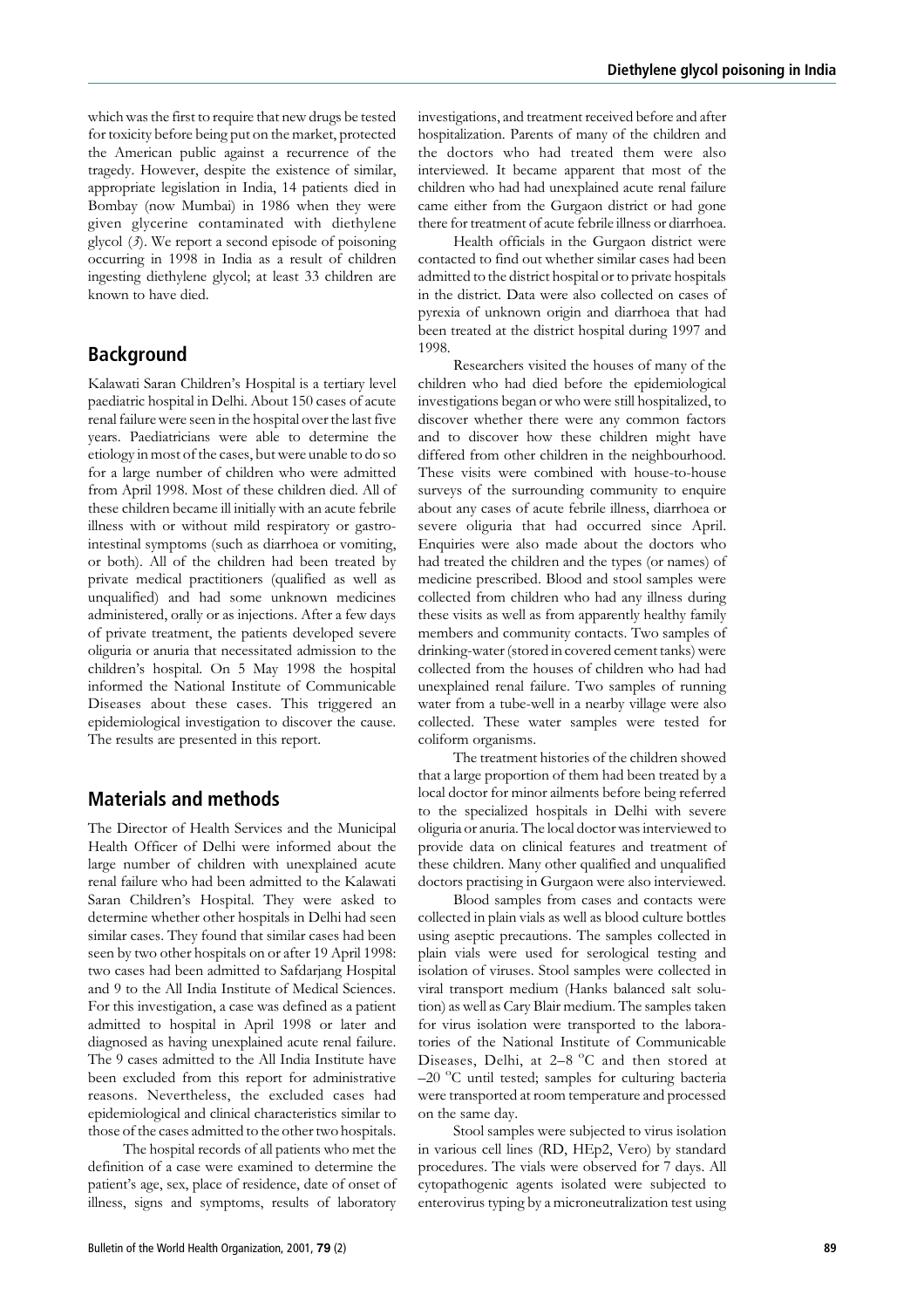which was the first to require that new drugs be tested for toxicity before being put on the market, protected the American public against a recurrence of the tragedy. However, despite the existence of similar, appropriate legislation in India, 14 patients died in Bombay (now Mumbai) in 1986 when they were given glycerine contaminated with diethylene glycol (3). We report a second episode of poisoning occurring in 1998 in India as a result of children ingesting diethylene glycol; at least 33 children are known to have died.

## Background

Kalawati Saran Children's Hospital is a tertiary level paediatric hospital in Delhi. About 150 cases of acute renal failure were seen in the hospital over the last five years. Paediatricians were able to determine the etiology in most of the cases, but were unable to do so for a large number of children who were admitted from April 1998. Most of these children died. All of these children became ill initially with an acute febrile illness with or without mild respiratory or gastrointestinal symptoms (such as diarrhoea or vomiting, or both). All of the children had been treated by private medical practitioners (qualified as well as unqualified) and had some unknown medicines administered, orally or as injections. After a few days of private treatment, the patients developed severe oliguria or anuria that necessitated admission to the children's hospital. On 5 May 1998 the hospital informed the National Institute of Communicable Diseases about these cases. This triggered an epidemiological investigation to discover the cause. The results are presented in this report.

## Materials and methods

The Director of Health Services and the Municipal Health Officer of Delhi were informed about the large number of children with unexplained acute renal failure who had been admitted to the Kalawati Saran Children's Hospital. They were asked to determine whether other hospitals in Delhi had seen similar cases. They found that similar cases had been seen by two other hospitals on or after 19 April 1998: two cases had been admitted to Safdarjang Hospital and 9 to the All India Institute of Medical Sciences. For this investigation, a case was defined as a patient admitted to hospital in April 1998 or later and diagnosed as having unexplained acute renal failure. The 9 cases admitted to the All India Institute have been excluded from this report for administrative reasons. Nevertheless, the excluded cases had epidemiological and clinical characteristics similar to those of the cases admitted to the other two hospitals.

The hospital records of all patients who met the definition of a case were examined to determine the patient's age, sex, place of residence, date of onset of illness, signs and symptoms, results of laboratory investigations, and treatment received before and after hospitalization. Parents of many of the children and the doctors who had treated them were also interviewed. It became apparent that most of the children who had had unexplained acute renal failure came either from the Gurgaon district or had gone there for treatment of acute febrile illness or diarrhoea.

Health officials in the Gurgaon district were contacted to find out whether similar cases had been admitted to the district hospital or to private hospitals in the district. Data were also collected on cases of pyrexia of unknown origin and diarrhoea that had been treated at the district hospital during 1997 and 1998.

Researchers visited the houses of many of the children who had died before the epidemiological investigations began or who were still hospitalized, to discover whether there were any common factors and to discover how these children might have differed from other children in the neighbourhood. These visits were combined with house-to-house surveys of the surrounding community to enquire about any cases of acute febrile illness, diarrhoea or severe oliguria that had occurred since April. Enquiries were also made about the doctors who had treated the children and the types (or names) of medicine prescribed. Blood and stool samples were collected from children who had any illness during these visits as well as from apparently healthy family members and community contacts. Two samples of drinking-water (stored in covered cement tanks) were collected from the houses of children who had had unexplained renal failure. Two samples of running water from a tube-well in a nearby village were also collected. These water samples were tested for coliform organisms.

The treatment histories of the children showed that a large proportion of them had been treated by a local doctor for minor ailments before being referred to the specialized hospitals in Delhi with severe oliguria or anuria. The local doctor was interviewed to provide data on clinical features and treatment of these children. Many other qualified and unqualified doctors practising in Gurgaon were also interviewed.

Blood samples from cases and contacts were collected in plain vials as well as blood culture bottles using aseptic precautions. The samples collected in plain vials were used for serological testing and isolation of viruses. Stool samples were collected in viral transport medium (Hanks balanced salt solution) as well as Cary Blair medium. The samples taken for virus isolation were transported to the laboratories of the National Institute of Communicable Diseases, Delhi, at 2–8 °C and then stored at -20 °C until tested; samples for culturing bacteria were transported at room temperature and processed on the same day.

Stool samples were subjected to virus isolation in various cell lines (RD, HEp2, Vero) by standard procedures. The vials were observed for 7days. All cytopathogenic agents isolated were subjected to enterovirus typing by a microneutralization test using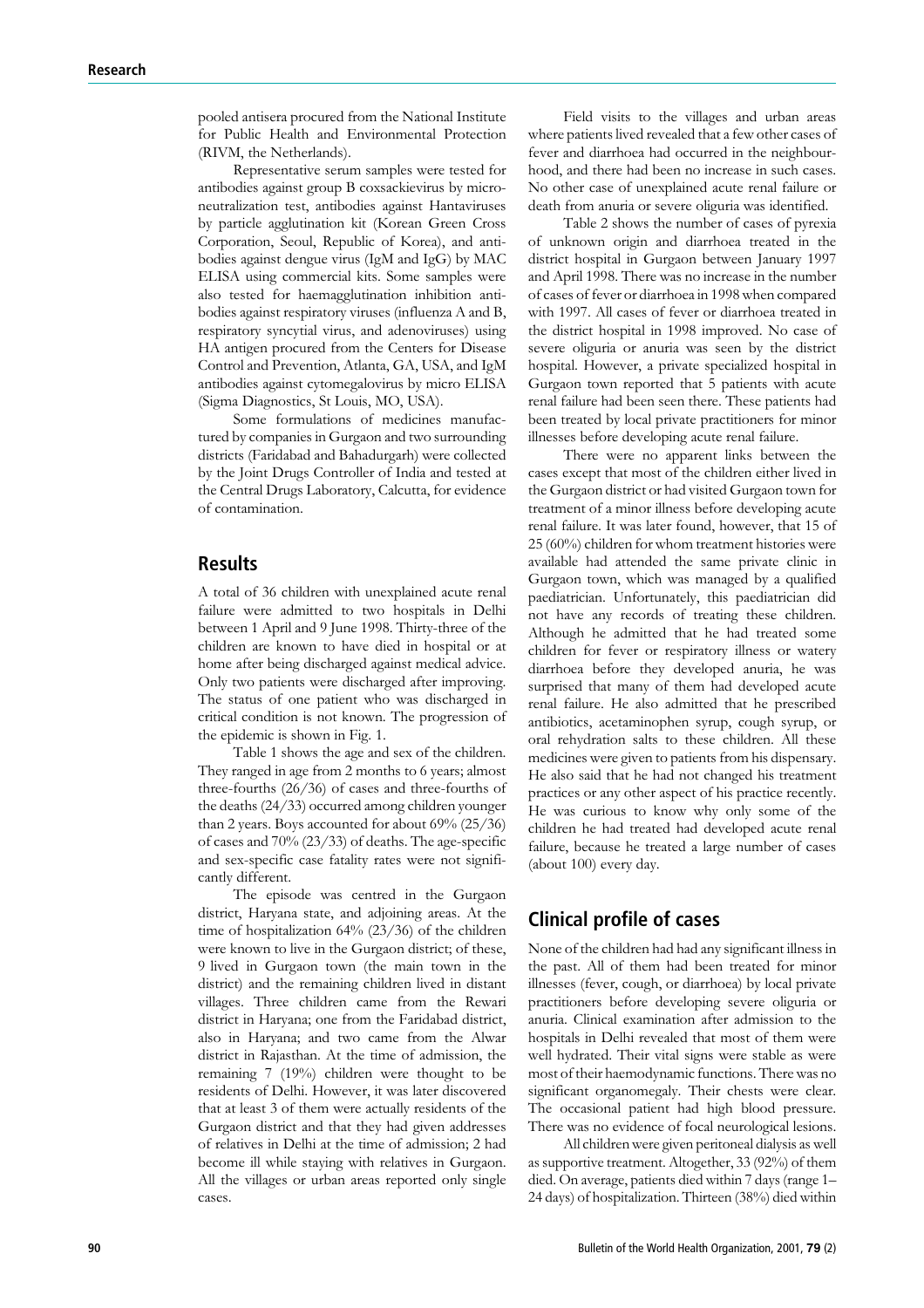pooled antisera procured from the National Institute for Public Health and Environmental Protection (RIVM, the Netherlands).

Representative serum samples were tested for antibodies against group B coxsackievirus by microneutralization test, antibodies against Hantaviruses by particle agglutination kit (Korean Green Cross Corporation, Seoul, Republic of Korea), and antibodies against dengue virus (IgM and IgG) by MAC ELISA using commercial kits. Some samples were also tested for haemagglutination inhibition antibodies against respiratory viruses (influenza A and B, respiratory syncytial virus, and adenoviruses) using HA antigen procured from the Centers for Disease Control and Prevention, Atlanta, GA, USA, and IgM antibodies against cytomegalovirus by micro ELISA (Sigma Diagnostics, St Louis, MO, USA).

Some formulations of medicines manufactured by companies in Gurgaon and two surrounding districts (Faridabad and Bahadurgarh) were collected by the Joint Drugs Controller of India and tested at the Central Drugs Laboratory, Calcutta, for evidence of contamination.

#### Results

A total of 36 children with unexplained acute renal failure were admitted to two hospitals in Delhi between 1 April and 9 June 1998. Thirty-three of the children are known to have died in hospital or at home after being discharged against medical advice. Only two patients were discharged after improving. The status of one patient who was discharged in critical condition is not known. The progression of the epidemic is shown in Fig. 1.

Table 1 shows the age and sex of the children. They ranged in age from 2 months to 6 years; almost three-fourths (26/36) of cases and three-fourths of the deaths (24/33) occurred among children younger than 2 years. Boys accounted for about 69% (25/36) of cases and 70% (23/33) of deaths. The age-specific and sex-specific case fatality rates were not significantly different.

The episode was centred in the Gurgaon district, Haryana state, and adjoining areas. At the time of hospitalization 64% (23/36) of the children were known to live in the Gurgaon district; of these, 9 lived in Gurgaon town (the main town in the district) and the remaining children lived in distant villages. Three children came from the Rewari district in Haryana; one from the Faridabad district, also in Haryana; and two came from the Alwar district in Rajasthan. At the time of admission, the remaining 7 (19%) children were thought to be residents of Delhi. However, it was later discovered that at least 3 of them were actually residents of the Gurgaon district and that they had given addresses of relatives in Delhi at the time of admission; 2 had become ill while staying with relatives in Gurgaon. All the villages or urban areas reported only single cases.

Field visits to the villages and urban areas where patients lived revealed that a few other cases of fever and diarrhoea had occurred in the neighbourhood, and there had been no increase in such cases. No other case of unexplained acute renal failure or death from anuria or severe oliguria was identified.

Table 2 shows the number of cases of pyrexia of unknown origin and diarrhoea treated in the district hospital in Gurgaon between January 1997 and April 1998. There was no increase in the number of cases of fever or diarrhoea in 1998 when compared with 1997. All cases of fever or diarrhoea treated in the district hospital in 1998 improved. No case of severe oliguria or anuria was seen by the district hospital. However, a private specialized hospital in Gurgaon town reported that 5 patients with acute renal failure had been seen there. These patients had been treated by local private practitioners for minor illnesses before developing acute renal failure.

There were no apparent links between the cases except that most of the children either lived in the Gurgaon district or had visited Gurgaon town for treatment of a minor illness before developing acute renal failure. It was later found, however, that 15 of 25 (60%) children for whom treatment histories were available had attended the same private clinic in Gurgaon town, which was managed by a qualified paediatrician. Unfortunately, this paediatrician did not have any records of treating these children. Although he admitted that he had treated some children for fever or respiratory illness or watery diarrhoea before they developed anuria, he was surprised that many of them had developed acute renal failure. He also admitted that he prescribed antibiotics, acetaminophen syrup, cough syrup, or oral rehydration salts to these children. All these medicines were given to patients from his dispensary. He also said that he had not changed his treatment practices or any other aspect of his practice recently. He was curious to know why only some of the children he had treated had developed acute renal failure, because he treated a large number of cases (about 100) every day.

## Clinical profile of cases

None of the children had had any significant illness in the past. All of them had been treated for minor illnesses (fever, cough, or diarrhoea) by local private practitioners before developing severe oliguria or anuria. Clinical examination after admission to the hospitals in Delhi revealed that most of them were well hydrated. Their vital signs were stable as were most of their haemodynamic functions. There was no significant organomegaly. Their chests were clear. The occasional patient had high blood pressure. There was no evidence of focal neurological lesions.

All children were given peritoneal dialysis as well as supportive treatment. Altogether, 33 (92%) of them died. On average, patients died within 7days (range 1– 24 days) of hospitalization. Thirteen (38%) died within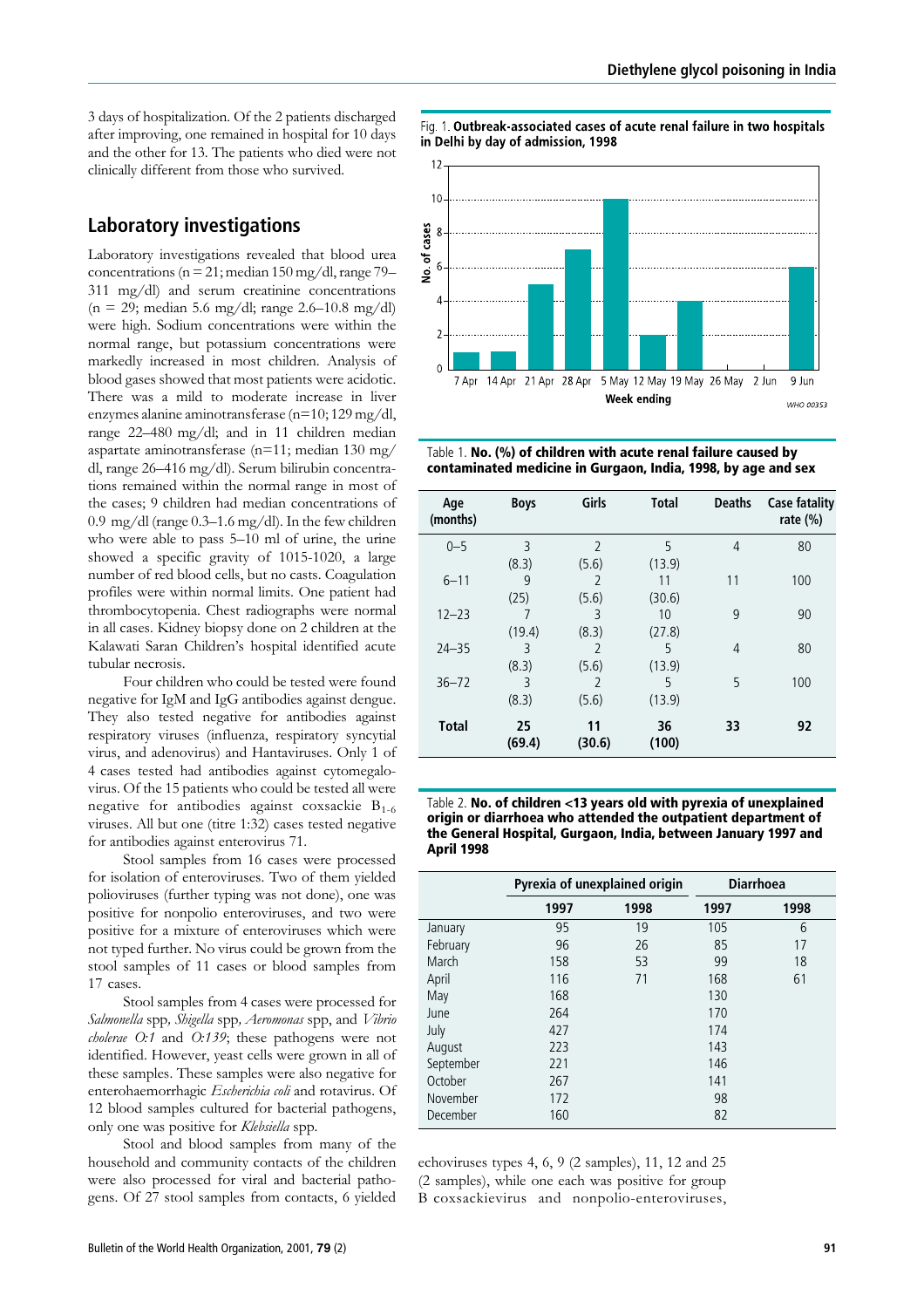3 days of hospitalization. Of the 2 patients discharged after improving, one remained in hospital for 10 days and the other for 13. The patients who died were not clinically different from those who survived.

## Laboratory investigations

Laboratory investigations revealed that blood urea concentrations ( $n = 21$ ; median 150 mg/dl, range 79– 311 mg/dl) and serum creatinine concentrations  $(n = 29; \text{ median } 5.6 \text{ mg/dl}; \text{range } 2.6{\text -}10.8 \text{ mg/dl})$ were high. Sodium concentrations were within the normal range, but potassium concentrations were markedly increased in most children. Analysis of blood gases showed that most patients were acidotic. There was a mild to moderate increase in liver enzymes alanine aminotransferase (n=10; 129 mg/dl, range 22–480 mg/dl; and in 11 children median aspartate aminotransferase (n=11; median 130 mg/ dl, range 26–416 mg/dl). Serum bilirubin concentrations remained within the normal range in most of the cases; 9 children had median concentrations of 0.9 mg/dl (range 0.3–1.6 mg/dl). In the few children who were able to pass 5–10 ml of urine, the urine showed a specific gravity of 1015-1020, a large number of red blood cells, but no casts. Coagulation profiles were within normal limits. One patient had thrombocytopenia. Chest radiographs were normal in all cases. Kidney biopsy done on 2 children at the Kalawati Saran Children's hospital identified acute tubular necrosis.

Four children who could be tested were found negative for IgM and IgG antibodies against dengue. They also tested negative for antibodies against respiratory viruses (influenza, respiratory syncytial virus, and adenovirus) and Hantaviruses. Only 1 of 4 cases tested had antibodies against cytomegalovirus. Of the 15 patients who could be tested all were negative for antibodies against coxsackie  $B_{1-6}$ viruses. All but one (titre 1:32) cases tested negative for antibodies against enterovirus 71.

Stool samples from 16 cases were processed for isolation of enteroviruses. Two of them yielded polioviruses (further typing was not done), one was positive for nonpolio enteroviruses, and two were positive for a mixture of enteroviruses which were not typed further. No virus could be grown from the stool samples of 11 cases or blood samples from 17 cases.

Stool samples from 4 cases were processed for Salmonella spp, Shigella spp, Aeromonas spp, and Vibrio cholerae O:1 and O:139; these pathogens were not identified. However, yeast cells were grown in all of these samples. These samples were also negative for enterohaemorrhagic Escherichia coli and rotavirus. Of 12 blood samples cultured for bacterial pathogens, only one was positive for Klebsiella spp.

Stool and blood samples from many of the household and community contacts of the children were also processed for viral and bacterial pathogens. Of 27 stool samples from contacts, 6 yielded

Fig. 1. Outbreak-associated cases of acute renal failure in two hospitals in Delhi by day of admission, 1998



Table 1. No. (%) of children with acute renal failure caused by contaminated medicine in Gurgaon, India, 1998, by age and sex

| Age<br>(months) | <b>Boys</b>  | Girls          | <b>Total</b> | <b>Deaths</b>  | <b>Case fatality</b><br>rate $(\%)$ |
|-----------------|--------------|----------------|--------------|----------------|-------------------------------------|
| $0 - 5$         | 3            | $\overline{2}$ | 5            | $\overline{4}$ | 80                                  |
|                 | (8.3)        | (5.6)          | (13.9)       |                |                                     |
| $6 - 11$        | 9            | $\mathcal{P}$  | 11           | 11             | 100                                 |
|                 | (25)         | (5.6)          | (30.6)       |                |                                     |
| $12 - 23$       | 7            | ξ              | 10           | 9              | 90                                  |
|                 | (19.4)       | (8.3)          | (27.8)       |                |                                     |
| $24 - 35$       | 3            | $\mathcal{P}$  | 5            | 4              | 80                                  |
|                 | (8.3)        | (5.6)          | (13.9)       |                |                                     |
| $36 - 72$       | 3            | $\mathcal{P}$  | 5            | 5              | 100                                 |
|                 | (8.3)        | (5.6)          | (13.9)       |                |                                     |
| <b>Total</b>    | 25<br>(69.4) | 11<br>(30.6)   | 36<br>(100)  | 33             | 92                                  |

Table 2. No. of children <13 years old with pyrexia of unexplained origin or diarrhoea who attended the outpatient department of the General Hospital, Gurgaon, India, between January 1997 and April 1998

|           | Pyrexia of unexplained origin |      | <b>Diarrhoea</b> |      |
|-----------|-------------------------------|------|------------------|------|
|           | 1997                          | 1998 | 1997             | 1998 |
| January   | 95                            | 19   | 105              | 6    |
| February  | 96                            | 26   | 85               | 17   |
| March     | 158                           | 53   | 99               | 18   |
| April     | 116                           | 71   | 168              | 61   |
| May       | 168                           |      | 130              |      |
| June      | 264                           |      | 170              |      |
| July      | 427                           |      | 174              |      |
| August    | 223                           |      | 143              |      |
| September | 221                           |      | 146              |      |
| October   | 267                           |      | 141              |      |
| November  | 172                           |      | 98               |      |
| December  | 160                           |      | 82               |      |

echoviruses types 4, 6, 9 (2 samples), 11, 12 and 25 (2 samples), while one each was positive for group B coxsackievirus and nonpolio-enteroviruses,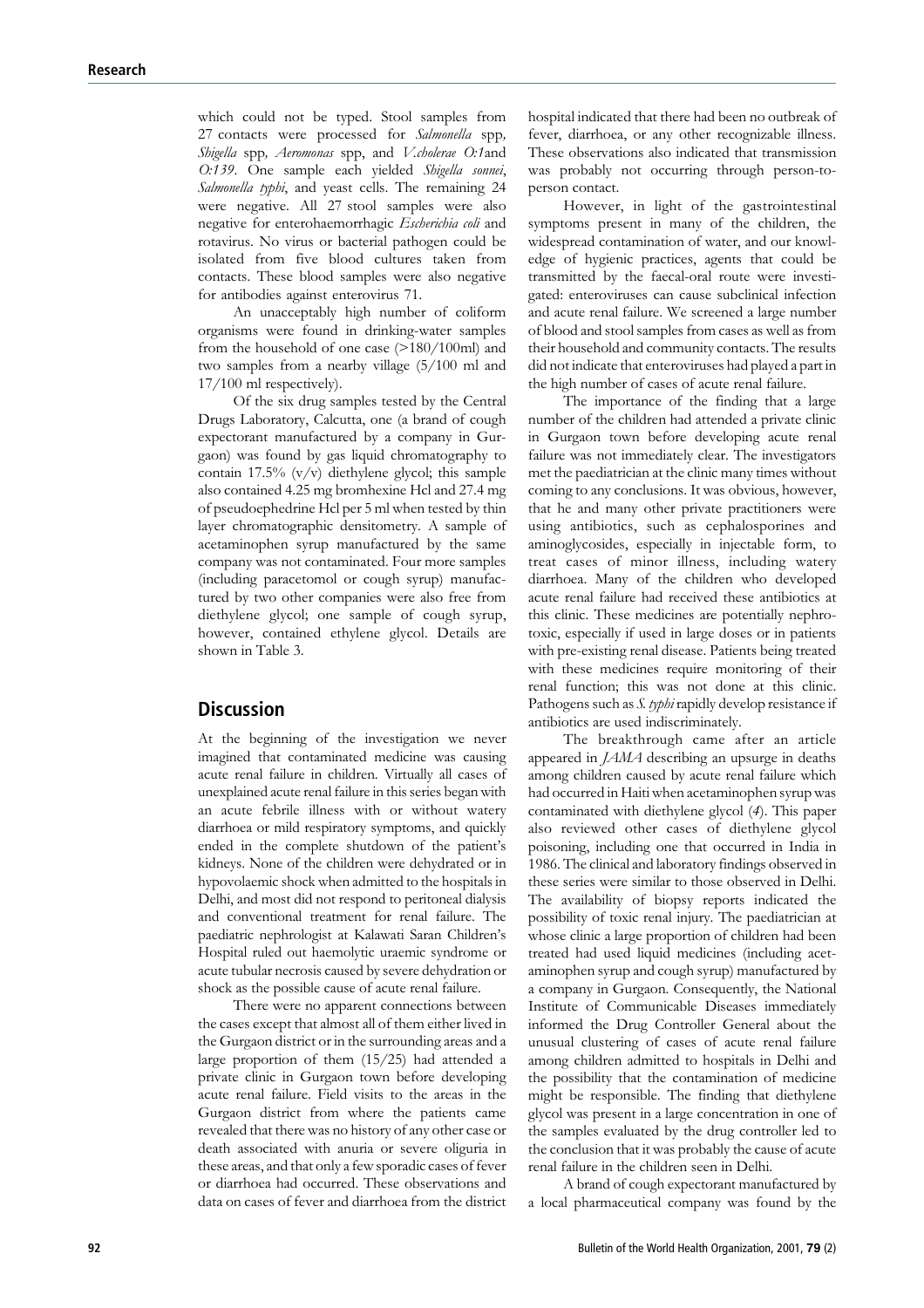which could not be typed. Stool samples from 27 contacts were processed for Salmonella spp, Shigella spp, Aeromonas spp, and V.cholerae O:1and O:139. One sample each yielded Shigella sonnei, Salmonella typhi, and yeast cells. The remaining 24 were negative. All 27 stool samples were also negative for enterohaemorrhagic Escherichia coli and rotavirus. No virus or bacterial pathogen could be isolated from five blood cultures taken from contacts. These blood samples were also negative for antibodies against enterovirus 71.

An unacceptably high number of coliform organisms were found in drinking-water samples from the household of one case (>180/100ml) and two samples from a nearby village (5/100 ml and 17/100 ml respectively).

Of the six drug samples tested by the Central Drugs Laboratory, Calcutta, one (a brand of cough expectorant manufactured by a company in Gurgaon) was found by gas liquid chromatography to contain 17.5% (v/v) diethylene glycol; this sample also contained 4.25 mg bromhexine Hcl and 27.4 mg of pseudoephedrine Hcl per 5 ml when tested by thin layer chromatographic densitometry. A sample of acetaminophen syrup manufactured by the same company was not contaminated. Four more samples (including paracetomol or cough syrup) manufactured by two other companies were also free from diethylene glycol; one sample of cough syrup, however, contained ethylene glycol. Details are shown in Table 3.

## **Discussion**

At the beginning of the investigation we never imagined that contaminated medicine was causing acute renal failure in children. Virtually all cases of unexplained acute renal failure in this series began with an acute febrile illness with or without watery diarrhoea or mild respiratory symptoms, and quickly ended in the complete shutdown of the patient's kidneys. None of the children were dehydrated or in hypovolaemic shock when admitted to the hospitals in Delhi, and most did not respond to peritoneal dialysis and conventional treatment for renal failure. The paediatric nephrologist at Kalawati Saran Children's Hospital ruled out haemolytic uraemic syndrome or acute tubular necrosis caused by severe dehydration or shock as the possible cause of acute renal failure.

There were no apparent connections between the cases except that almost all of them either lived in the Gurgaon district or in the surrounding areas and a large proportion of them (15/25) had attended a private clinic in Gurgaon town before developing acute renal failure. Field visits to the areas in the Gurgaon district from where the patients came revealed that there was no history of any other case or death associated with anuria or severe oliguria in these areas, and that only a few sporadic cases of fever or diarrhoea had occurred. These observations and data on cases of fever and diarrhoea from the district hospital indicated that there had been no outbreak of fever, diarrhoea, or any other recognizable illness. These observations also indicated that transmission was probably not occurring through person-toperson contact.

However, in light of the gastrointestinal symptoms present in many of the children, the widespread contamination of water, and our knowledge of hygienic practices, agents that could be transmitted by the faecal-oral route were investigated: enteroviruses can cause subclinical infection and acute renal failure. We screened a large number of blood and stool samples from cases as well as from their household and community contacts. The results did not indicate that enteroviruses had played a part in the high number of cases of acute renal failure.

The importance of the finding that a large number of the children had attended a private clinic in Gurgaon town before developing acute renal failure was not immediately clear. The investigators met the paediatrician at the clinic many times without coming to any conclusions. It was obvious, however, that he and many other private practitioners were using antibiotics, such as cephalosporines and aminoglycosides, especially in injectable form, to treat cases of minor illness, including watery diarrhoea. Many of the children who developed acute renal failure had received these antibiotics at this clinic. These medicines are potentially nephrotoxic, especially if used in large doses or in patients with pre-existing renal disease. Patients being treated with these medicines require monitoring of their renal function; this was not done at this clinic. Pathogens such as S. typhi rapidly develop resistance if antibiotics are used indiscriminately.

The breakthrough came after an article appeared in JAMA describing an upsurge in deaths among children caused by acute renal failure which had occurred in Haiti when acetaminophen syrup was contaminated with diethylene glycol (4). This paper also reviewed other cases of diethylene glycol poisoning, including one that occurred in India in 1986. The clinical and laboratory findings observed in these series were similar to those observed in Delhi. The availability of biopsy reports indicated the possibility of toxic renal injury. The paediatrician at whose clinic a large proportion of children had been treated had used liquid medicines (including acetaminophen syrup and cough syrup) manufactured by a company in Gurgaon. Consequently, the National Institute of Communicable Diseases immediately informed the Drug Controller General about the unusual clustering of cases of acute renal failure among children admitted to hospitals in Delhi and the possibility that the contamination of medicine might be responsible. The finding that diethylene glycol was present in a large concentration in one of the samples evaluated by the drug controller led to the conclusion that it was probably the cause of acute renal failure in the children seen in Delhi.

A brand of cough expectorant manufactured by a local pharmaceutical company was found by the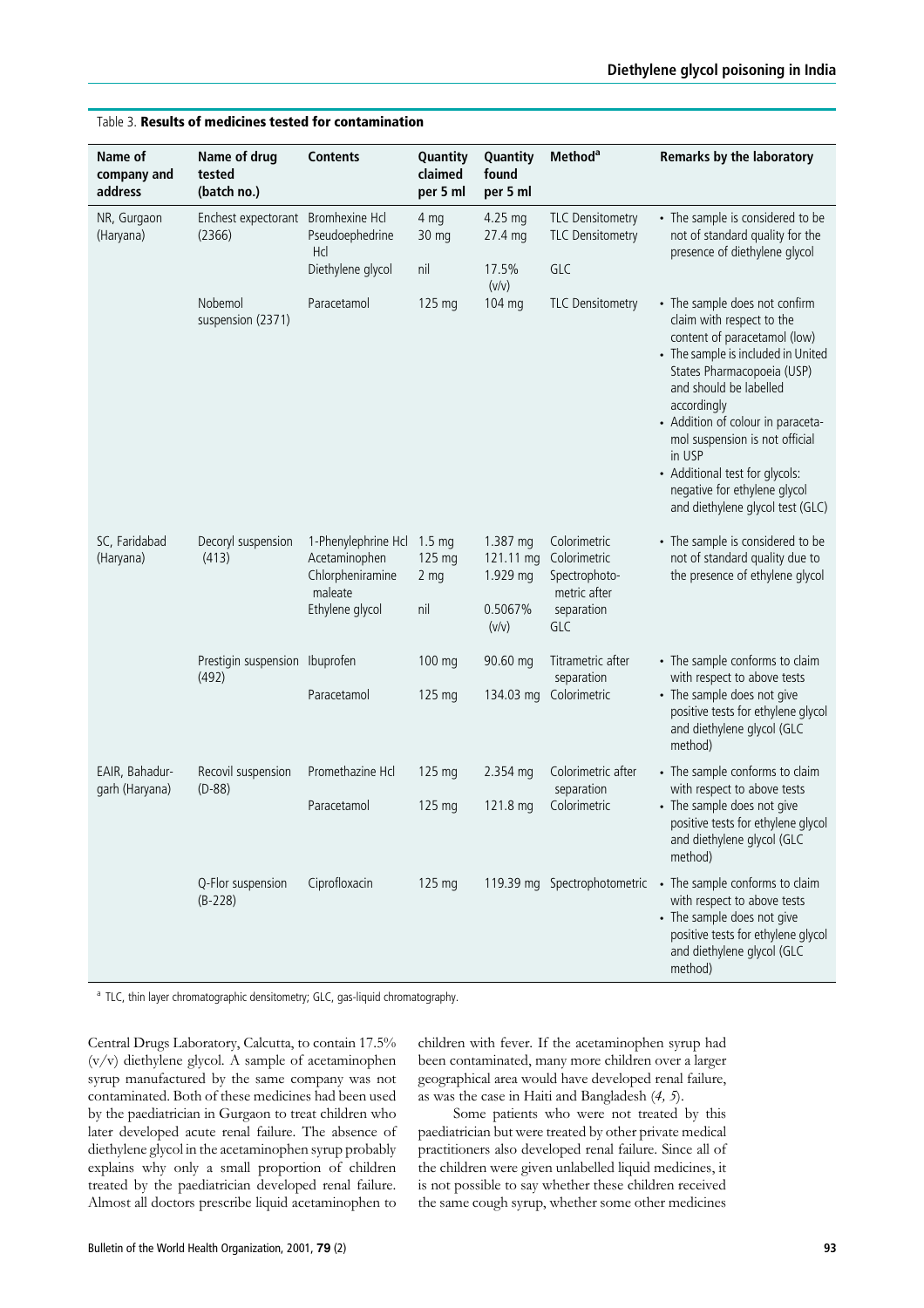| Name of<br>company and<br>address | Name of drug<br>tested<br>(batch no.)        | <b>Contents</b>                                                                        | Quantity<br>claimed<br>per 5 ml                      | Quantity<br>found<br>per 5 ml                         | Method <sup>a</sup>                                                                | Remarks by the laboratory                                                                                                                                                                                                                                                                                                                                                                      |
|-----------------------------------|----------------------------------------------|----------------------------------------------------------------------------------------|------------------------------------------------------|-------------------------------------------------------|------------------------------------------------------------------------------------|------------------------------------------------------------------------------------------------------------------------------------------------------------------------------------------------------------------------------------------------------------------------------------------------------------------------------------------------------------------------------------------------|
| NR, Gurgaon<br>(Haryana)          | Enchest expectorant Bromhexine Hcl<br>(2366) | Pseudoephedrine<br>Hcl                                                                 | 4 mg<br>30 mg                                        | 4.25 mg<br>27.4 mg                                    | <b>TLC Densitometry</b><br><b>TLC Densitometry</b>                                 | • The sample is considered to be<br>not of standard quality for the<br>presence of diethylene glycol                                                                                                                                                                                                                                                                                           |
|                                   |                                              | Diethylene glycol                                                                      | nil                                                  | 17.5%<br>(v/v)                                        | GLC                                                                                |                                                                                                                                                                                                                                                                                                                                                                                                |
|                                   | Nobemol<br>suspension (2371)                 | Paracetamol                                                                            | 125 mg                                               | 104 mg                                                | <b>TLC Densitometry</b>                                                            | • The sample does not confirm<br>claim with respect to the<br>content of paracetamol (low)<br>• The sample is included in United<br>States Pharmacopoeia (USP)<br>and should be labelled<br>accordingly<br>• Addition of colour in paraceta-<br>mol suspension is not official<br>in USP<br>• Additional test for glycols:<br>negative for ethylene glycol<br>and diethylene glycol test (GLC) |
| SC, Faridabad<br>(Haryana)        | Decoryl suspension<br>(413)                  | 1-Phenylephrine Hcl<br>Acetaminophen<br>Chlorpheniramine<br>maleate<br>Ethylene glycol | $1.5 \text{ mg}$<br>125 mg<br>2 <sub>mg</sub><br>nil | 1.387 mg<br>121.11 mg<br>1.929 mg<br>0.5067%<br>(v/v) | Colorimetric<br>Colorimetric<br>Spectrophoto-<br>metric after<br>separation<br>GLC | • The sample is considered to be<br>not of standard quality due to<br>the presence of ethylene glycol                                                                                                                                                                                                                                                                                          |
|                                   | Prestigin suspension Ibuprofen<br>(492)      |                                                                                        | 100 mg                                               | 90.60 mg                                              | Titrametric after<br>separation                                                    | • The sample conforms to claim<br>with respect to above tests                                                                                                                                                                                                                                                                                                                                  |
|                                   |                                              | Paracetamol                                                                            | 125 mg                                               | 134.03 mg                                             | Colorimetric                                                                       | • The sample does not give<br>positive tests for ethylene glycol<br>and diethylene glycol (GLC<br>method)                                                                                                                                                                                                                                                                                      |
| EAIR, Bahadur-<br>garh (Haryana)  | Recovil suspension<br>$(D-88)$               | Promethazine Hcl                                                                       | 125 mg                                               | 2.354 mg                                              | Colorimetric after<br>separation                                                   | • The sample conforms to claim<br>with respect to above tests                                                                                                                                                                                                                                                                                                                                  |
|                                   |                                              | Paracetamol                                                                            | 125 mg                                               | 121.8 mg                                              | Colorimetric                                                                       | • The sample does not give<br>positive tests for ethylene glycol<br>and diethylene glycol (GLC<br>method)                                                                                                                                                                                                                                                                                      |
|                                   | Q-Flor suspension<br>$(B-228)$               | Ciprofloxacin                                                                          | 125 mg                                               |                                                       | 119.39 mg Spectrophotometric                                                       | • The sample conforms to claim<br>with respect to above tests<br>• The sample does not give<br>positive tests for ethylene glycol<br>and diethylene glycol (GLC<br>method)                                                                                                                                                                                                                     |

## Table 3. Results of medicines tested for contamination

<sup>a</sup> TLC, thin layer chromatographic densitometry; GLC, gas-liquid chromatography.

Central Drugs Laboratory, Calcutta, to contain 17.5% (v/v) diethylene glycol. A sample of acetaminophen syrup manufactured by the same company was not contaminated. Both of these medicines had been used by the paediatrician in Gurgaon to treat children who later developed acute renal failure. The absence of diethylene glycol in the acetaminophen syrup probably explains why only a small proportion of children treated by the paediatrician developed renal failure. Almost all doctors prescribe liquid acetaminophen to

children with fever. If the acetaminophen syrup had been contaminated, many more children over a larger geographical area would have developed renal failure, as was the case in Haiti and Bangladesh  $(4, 5)$ .

Some patients who were not treated by this paediatrician but were treated by other private medical practitioners also developed renal failure. Since all of the children were given unlabelled liquid medicines, it is not possible to say whether these children received the same cough syrup, whether some other medicines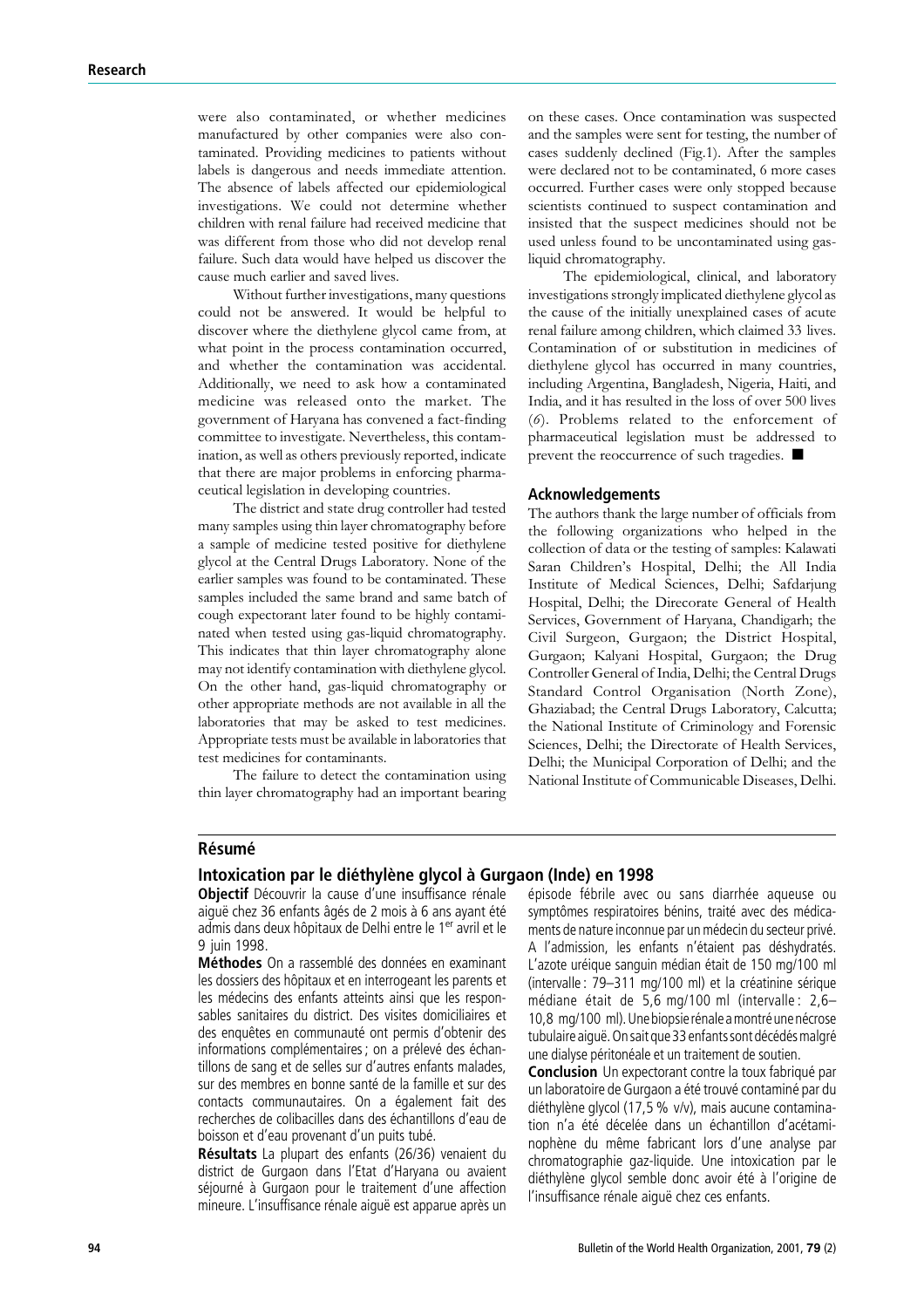were also contaminated, or whether medicines manufactured by other companies were also contaminated. Providing medicines to patients without labels is dangerous and needs immediate attention. The absence of labels affected our epidemiological investigations. We could not determine whether children with renal failure had received medicine that was different from those who did not develop renal failure. Such data would have helped us discover the cause much earlier and saved lives.

Without further investigations, many questions could not be answered. It would be helpful to discover where the diethylene glycol came from, at what point in the process contamination occurred, and whether the contamination was accidental. Additionally, we need to ask how a contaminated medicine was released onto the market. The government of Haryana has convened a fact-finding committee to investigate. Nevertheless, this contamination, as well as others previously reported, indicate that there are major problems in enforcing pharmaceutical legislation in developing countries.

The district and state drug controller had tested many samples using thin layer chromatography before a sample of medicine tested positive for diethylene glycol at the Central Drugs Laboratory. None of the earlier samples was found to be contaminated. These samples included the same brand and same batch of cough expectorant later found to be highly contaminated when tested using gas-liquid chromatography. This indicates that thin layer chromatography alone may not identify contamination with diethylene glycol. On the other hand, gas-liquid chromatography or other appropriate methods are not available in all the laboratories that may be asked to test medicines. Appropriate tests must be available in laboratories that test medicines for contaminants.

The failure to detect the contamination using thin layer chromatography had an important bearing

on these cases. Once contamination was suspected and the samples were sent for testing, the number of cases suddenly declined (Fig.1). After the samples were declared not to be contaminated, 6 more cases occurred. Further cases were only stopped because scientists continued to suspect contamination and insisted that the suspect medicines should not be used unless found to be uncontaminated using gasliquid chromatography.

The epidemiological, clinical, and laboratory investigations strongly implicated diethylene glycol as the cause of the initially unexplained cases of acute renal failure among children, which claimed 33 lives. Contamination of or substitution in medicines of diethylene glycol has occurred in many countries, including Argentina, Bangladesh, Nigeria, Haiti, and India, and it has resulted in the loss of over 500 lives (6). Problems related to the enforcement of pharmaceutical legislation must be addressed to prevent the reoccurrence of such tragedies.  $\blacksquare$ 

#### Acknowledgements

The authors thank the large number of officials from the following organizations who helped in the collection of data or the testing of samples: Kalawati Saran Children's Hospital, Delhi; the All India Institute of Medical Sciences, Delhi; Safdarjung Hospital, Delhi; the Direcorate General of Health Services, Government of Haryana, Chandigarh; the Civil Surgeon, Gurgaon; the District Hospital, Gurgaon; Kalyani Hospital, Gurgaon; the Drug Controller General of India, Delhi; the Central Drugs Standard Control Organisation (North Zone), Ghaziabad; the Central Drugs Laboratory, Calcutta; the National Institute of Criminology and Forensic Sciences, Delhi; the Directorate of Health Services, Delhi; the Municipal Corporation of Delhi; and the National Institute of Communicable Diseases, Delhi.

#### **Résumé**

#### Intoxication par le dié thylène glycol à Gurgaon (Inde) en 1998

Objectif Découvrir la cause d'une insuffisance rénale aiguë chez 36 enfants âgés de 2 mois à 6 ans ayant été admis dans deux hôpitaux de Delhi entre le 1<sup>er</sup> avril et le 9 juin 1998.

Méthodes On a rassemblé des données en examinant les dossiers des hôpitaux et en interrogeant les parents et les médecins des enfants atteints ainsi que les responsables sanitaires du district. Des visites domiciliaires et des enquêtes en communauté ont permis d'obtenir des informations complémentaires ; on a prélevé des échantillons de sang et de selles sur d'autres enfants malades, sur des membres en bonne santé de la famille et sur des contacts communautaires. On a également fait des recherches de colibacilles dans des échantillons d'eau de boisson et d'eau provenant d'un puits tubé.

Résultats La plupart des enfants (26/36) venaient du district de Gurgaon dans l'Etat d'Haryana ou avaient séjourné à Gurgaon pour le traitement d'une affection mineure. L'insuffisance rénale aiguë est apparue après un épisode fébrile avec ou sans diarrhée aqueuse ou symptômes respiratoires bénins, traité avec des médicaments de nature inconnue par un médecin du secteur privé. A l'admission, les enfants n'étaient pas déshydratés. L'azote uréique sanguin médian était de 150 mg/100 ml (intervalle :  $79-311$  mg/100 ml) et la créatinine sérique médiane était de 5,6 mg/100 ml (intervalle :  $2,6-$ 10,8 mg/100 ml). Une biopsie rénale a montré une nécrose tubulaire aiguë. On sait que 33 enfants sont décédés malgré une dialyse péritonéale et un traitement de soutien.

Conclusion Un expectorant contre la toux fabriqué par un laboratoire de Gurgaon a été trouvé contaminé par du diéthylène glycol (17,5 % v/v), mais aucune contamination n'a été décelée dans un échantillon d'acétaminophène du même fabricant lors d'une analyse par chromatographie gaz-liquide. Une intoxication par le diéthylène glycol semble donc avoir été à l'origine de l'insuffisance rénale aiguë chez ces enfants.